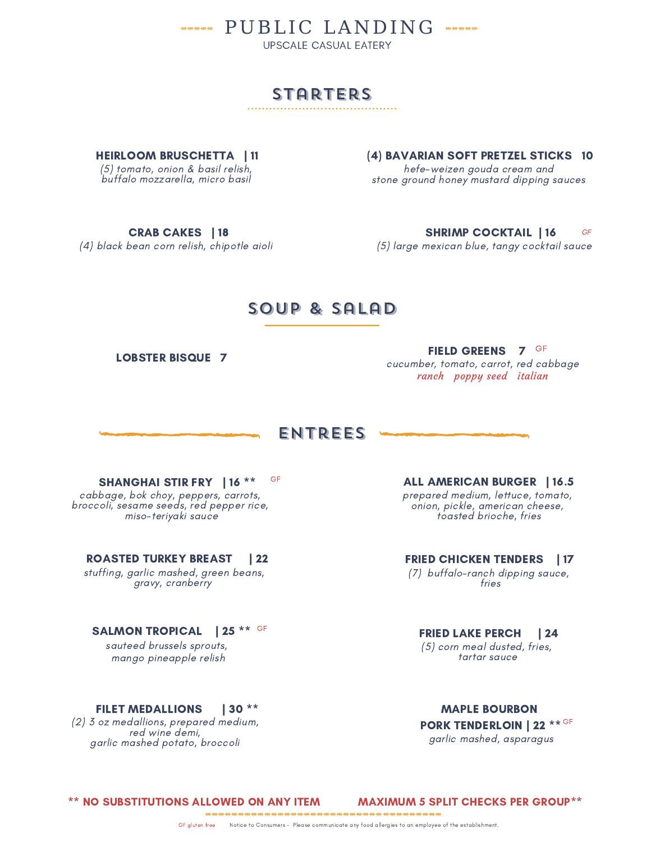**WARNER PUBLIC LANDING WARNER** 

UPSCALE CASUAL EATERY

# STARTERS

HEIRLOOM BRUSCHETTA | 11 (5) tomato, onion & basil relish, buffalo mozzarella, micro basil

(4) BAVARIAN SOFT PRETZEL STICKS 10 hefe-weizen gouda cream and stone ground honey mustard dipping sauces

CRAB CAKES | 18 (4) black bean corn relish, chipotle aioli

SHRIMP COCKTAIL | 16 (5) large mexican blue, tangy cocktail sauce GF

## soup & salad

LOBSTER BISQUE 7

FIELD GREENS 7 <sup>GF</sup> cucumber, tomato, carrot, red cabbage ranch poppy seed italian

## entrees

cabbage, bok choy, peppers, carrots, broccoli, sesame seeds, red pepper rice, miso-teriyaki sauce

#### ROASTED TURKEY BREAST | 22

stuffing, garlic mashed, green beans, gravy, cranberry

## SALMON TROPICAL | 25 \*\* GF

sauteed brussels sprouts, mango pineapple relish

## FILET MEDALLIONS | 30 \*\*

(2) 3 oz medallions, prepared medium, red wine demi, garlic mashed potato, broccoli

prepared medium, lettuce, tomato, onion, pickle, american cheese, toasted brioche, fries SHANGHAI STIR FRY | 16 \*\* ALL AMERICAN BURGER | 16.5 GF

> FRIED CHICKEN TENDERS | 17 (7) buffalo-ranch dipping sauce,

fries

#### FRIED LAKE PERCH | 24 (5) corn meal dusted, fries,

tartar sauce

MAPLE BOURBON PORK TENDERLOIN | 22  $^{***}$  GF garlic mashed, asparagus

\*\* NO SUBSTITUTIONS ALLOWED ON ANY ITEM MAXIMUM 5 SPLIT CHECKS PER GROUP\*\*